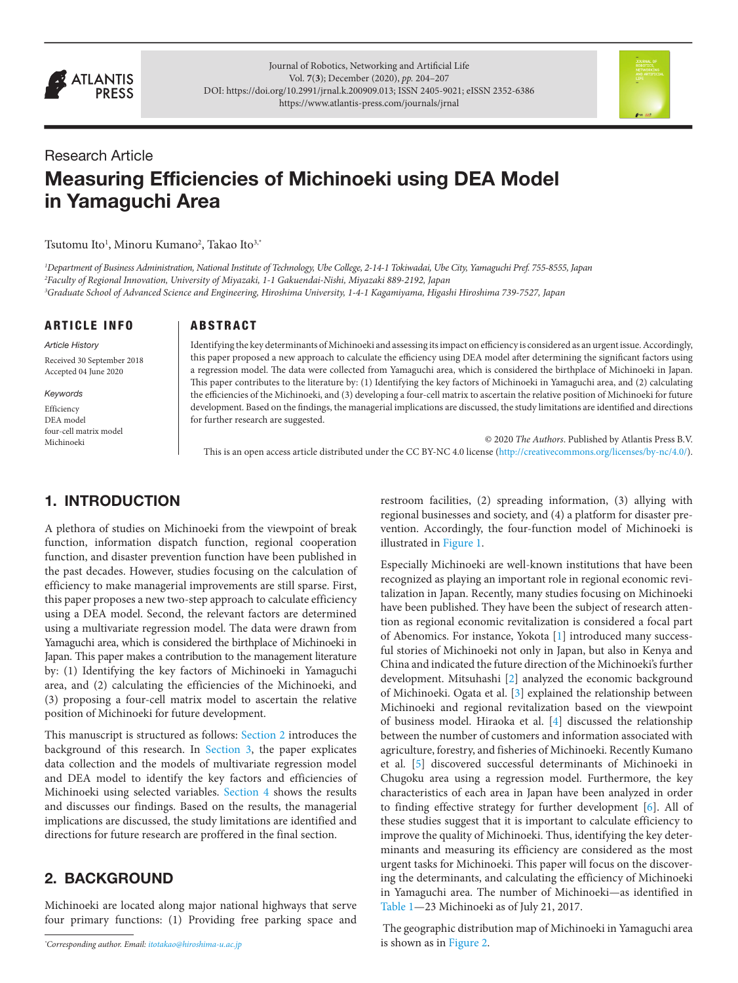

Journal of Robotics, Networking and Artificial Life Vol. **7**(**3**); December (2020), *pp.* 204–207 DOI: [https://doi.org/10.2991/jrnal.k.200909.013;](https://doi.org/10.2991/jrnal.k.200909.013) ISSN 2405-9021; eISSN 2352-6386 <https://www.atlantis-press.com/journals/jrnal>



# Research Article Measuring Efficiencies of Michinoeki using DEA Model in Yamaguchi Area

Tsutomu Ito<sup>1</sup>, Minoru Kumano<sup>2</sup>, Takao Ito<sup>3,\*</sup>

*1 Department of Business Administration, National Institute of Technology, Ube College, 2-14-1 Tokiwadai, Ube City, Yamaguchi Pref. 755-8555, Japan 2 Faculty of Regional Innovation, University of Miyazaki, 1-1 Gakuendai-Nishi, Miyazaki 889-2192, Japan 3 Graduate School of Advanced Science and Engineering, Hiroshima University, 1-4-1 Kagamiyama, Higashi Hiroshima 739-7527, Japan*

#### ARTICLE INFO

*Article History* Received 30 September 2018 Accepted 04 June 2020

*Keywords*

Efficiency DEA model four-cell matrix model Michinoeki

#### **ARSTRACT**

Identifying the key determinants of Michinoeki and assessing its impact on efficiency is considered as an urgent issue. Accordingly, this paper proposed a new approach to calculate the efficiency using DEA model after determining the significant factors using a regression model. The data were collected from Yamaguchi area, which is considered the birthplace of Michinoeki in Japan. This paper contributes to the literature by: (1) Identifying the key factors of Michinoeki in Yamaguchi area, and (2) calculating the efficiencies of the Michinoeki, and (3) developing a four-cell matrix to ascertain the relative position of Michinoeki for future development. Based on the findings, the managerial implications are discussed, the study limitations are identified and directions for further research are suggested.

© 2020 *The Authors*. Published by Atlantis Press B.V. This is an open access article distributed under the CC BY-NC 4.0 license ([http://creativecommons.org/licenses/by-nc/4.0](http://creativecommons.org/licenses/by-nc/4.0/)/).

### 1. INTRODUCTION

A plethora of studies on Michinoeki from the viewpoint of break function, information dispatch function, regional cooperation function, and disaster prevention function have been published in the past decades. However, studies focusing on the calculation of efficiency to make managerial improvements are still sparse. First, this paper proposes a new two-step approach to calculate efficiency using a DEA model. Second, the relevant factors are determined using a multivariate regression model. The data were drawn from Yamaguchi area, which is considered the birthplace of Michinoeki in Japan. This paper makes a contribution to the management literature by: (1) Identifying the key factors of Michinoeki in Yamaguchi area, and (2) calculating the efficiencies of the Michinoeki, and (3) proposing a four-cell matrix model to ascertain the relative position of Michinoeki for future development.

This manuscript is structured as follows: [Section 2](#page-0-0) introduces the background of this research. In [Section 3,](#page-1-0) the paper explicates data collection and the models of multivariate regression model and DEA model to identify the key factors and efficiencies of Michinoeki using selected variables. [Section 4](#page-2-0) shows the results and discusses our findings. Based on the results, the managerial implications are discussed, the study limitations are identified and directions for future research are proffered in the final section.

### <span id="page-0-0"></span>2. BACKGROUND

Michinoeki are located along major national highways that serve four primary functions: (1) Providing free parking space and

restroom facilities, (2) spreading information, (3) allying with regional businesses and society, and (4) a platform for disaster prevention. Accordingly, the four-function model of Michinoeki is illustrated in [Figure 1.](#page-1-1)

<span id="page-0-4"></span><span id="page-0-3"></span><span id="page-0-2"></span><span id="page-0-1"></span>Especially Michinoeki are well-known institutions that have been recognized as playing an important role in regional economic revitalization in Japan. Recently, many studies focusing on Michinoeki have been published. They have been the subject of research attention as regional economic revitalization is considered a focal part of Abenomics. For instance, Yokota [\[1\]](#page-2-1) introduced many successful stories of Michinoeki not only in Japan, but also in Kenya and China and indicated the future direction of the Michinoeki's further development. Mitsuhashi [[2](#page-2-2)] analyzed the economic background of Michinoeki. Ogata et al. [\[3](#page-2-3)] explained the relationship between Michinoeki and regional revitalization based on the viewpoint of business model. Hiraoka et al. [\[4\]](#page-2-4) discussed the relationship between the number of customers and information associated with agriculture, forestry, and fisheries of Michinoeki. Recently Kumano et al. [\[5](#page-2-5)] discovered successful determinants of Michinoeki in Chugoku area using a regression model. Furthermore, the key characteristics of each area in Japan have been analyzed in order to finding effective strategy for further development [\[6\]](#page-3-0). All of these studies suggest that it is important to calculate efficiency to improve the quality of Michinoeki. Thus, identifying the key determinants and measuring its efficiency are considered as the most urgent tasks for Michinoeki. This paper will focus on the discovering the determinants, and calculating the efficiency of Michinoeki in Yamaguchi area. The number of Michinoeki—as identified in [Table 1](#page-1-2)—23 Michinoeki as of July 21, 2017.

<span id="page-0-6"></span><span id="page-0-5"></span> The geographic distribution map of Michinoeki in Yamaguchi area is shown as in [Figure 2](#page-1-3).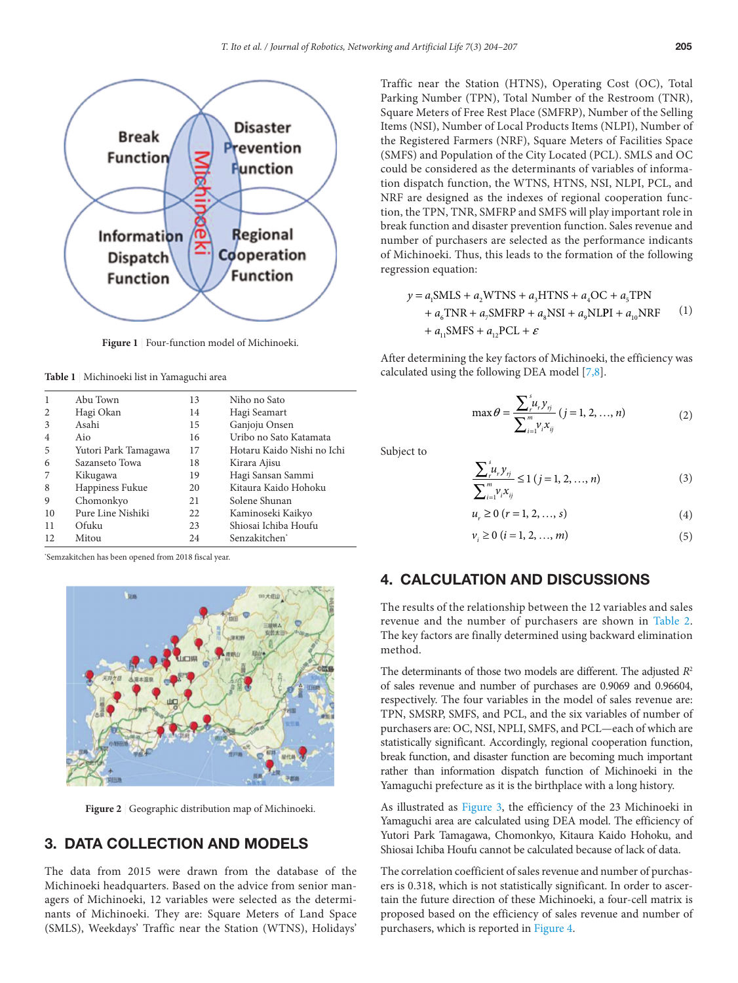

<span id="page-1-1"></span>**Figure 1** | Four-function model of Michinoeki.

<span id="page-1-2"></span>**Table 1** | Michinoeki list in Yamaguchi area

|    | Abu Town             | 13 | Niho no Sato               |
|----|----------------------|----|----------------------------|
|    | Hagi Okan            | 14 | Hagi Seamart               |
| 3  | Asahi                | 15 | Ganjoju Onsen              |
| 4  | Aio                  | 16 | Uribo no Sato Katamata     |
| 5  | Yutori Park Tamagawa | 17 | Hotaru Kaido Nishi no Ichi |
| 6  | Sazanseto Towa       | 18 | Kirara Ajisu               |
|    | Kikugawa             | 19 | Hagi Sansan Sammi          |
| 8  | Happiness Fukue      | 20 | Kitaura Kaido Hohoku       |
| 9  | Chomonkyo            | 21 | Solene Shunan              |
| 10 | Pure Line Nishiki    | 22 | Kaminoseki Kaikyo          |
| 11 | Ofuku                | 23 | Shiosai Ichiba Houfu       |
| 12 | Mitou                | 24 | Senzakitchen <sup>*</sup>  |

\* Semzakitchen has been opened from 2018 fiscal year.



**Figure 2** | Geographic distribution map of Michinoeki.

## <span id="page-1-3"></span>3. DATA COLLECTION AND MODELS

The data from 2015 were drawn from the database of the Michinoeki headquarters. Based on the advice from senior managers of Michinoeki, 12 variables were selected as the determinants of Michinoeki. They are: Square Meters of Land Space (SMLS), Weekdays' Traffic near the Station (WTNS), Holidays' Traffic near the Station (HTNS), Operating Cost (OC), Total Parking Number (TPN), Total Number of the Restroom (TNR), Square Meters of Free Rest Place (SMFRP), Number of the Selling Items (NSI), Number of Local Products Items (NLPI), Number of the Registered Farmers (NRF), Square Meters of Facilities Space (SMFS) and Population of the City Located (PCL). SMLS and OC could be considered as the determinants of variables of information dispatch function, the WTNS, HTNS, NSI, NLPI, PCL, and NRF are designed as the indexes of regional cooperation function, the TPN, TNR, SMFRP and SMFS will play important role in break function and disaster prevention function. Sales revenue and number of purchasers are selected as the performance indicants of Michinoeki. Thus, this leads to the formation of the following regression equation:

<span id="page-1-5"></span><span id="page-1-4"></span>
$$
y = a_1 \text{SMLS} + a_2 \text{WTNS} + a_3 \text{HTNS} + a_4 \text{OC} + a_5 \text{TPN}
$$
  
+ 
$$
a_6 \text{TNR} + a_7 \text{SMFRP} + a_8 \text{NSI} + a_9 \text{NLPI} + a_{10} \text{NRF}
$$
 (1)  
+ 
$$
a_{11} \text{SMFS} + a_{12} \text{PCL} + \varepsilon
$$

After determining the key factors of Michinoeki, the efficiency was calculated using the following DEA model [[7,](#page-3-1)[8](#page-3-2)].

$$
\max \theta = \frac{\sum_{i=1}^{s} u_i y_{ij}}{\sum_{i=1}^{m} v_i x_{ij}} (j = 1, 2, ..., n)
$$
 (2)

Subject to

$$
\frac{\sum_{r}^{s} u_{r} y_{rj}}{\sum_{i=1}^{m} v_{i} x_{ij}} \le 1 (j = 1, 2, ..., n)
$$
\n(3)

$$
u_r \ge 0 \ (r = 1, \, 2, \, \dots, \, s) \tag{4}
$$

$$
v_i \ge 0 \ (i = 1, 2, ..., m)
$$
 (5)

### <span id="page-1-0"></span>4. CALCULATION AND DISCUSSIONS

The results of the relationship between the 12 variables and sales revenue and the number of purchasers are shown in [Table 2](#page-2-6). The key factors are finally determined using backward elimination method.

The determinants of those two models are different. The adjusted *R*<sup>2</sup> of sales revenue and number of purchases are 0.9069 and 0.96604, respectively. The four variables in the model of sales revenue are: TPN, SMSRP, SMFS, and PCL, and the six variables of number of purchasers are: OC, NSI, NPLI, SMFS, and PCL—each of which are statistically significant. Accordingly, regional cooperation function, break function, and disaster function are becoming much important rather than information dispatch function of Michinoeki in the Yamaguchi prefecture as it is the birthplace with a long history.

As illustrated as [Figure 3](#page-2-7), the efficiency of the 23 Michinoeki in Yamaguchi area are calculated using DEA model. The efficiency of Yutori Park Tamagawa, Chomonkyo, Kitaura Kaido Hohoku, and Shiosai Ichiba Houfu cannot be calculated because of lack of data.

The correlation coefficient of sales revenue and number of purchasers is 0.318, which is not statistically significant. In order to ascertain the future direction of these Michinoeki, a four-cell matrix is proposed based on the efficiency of sales revenue and number of purchasers, which is reported in [Figure 4](#page-2-8).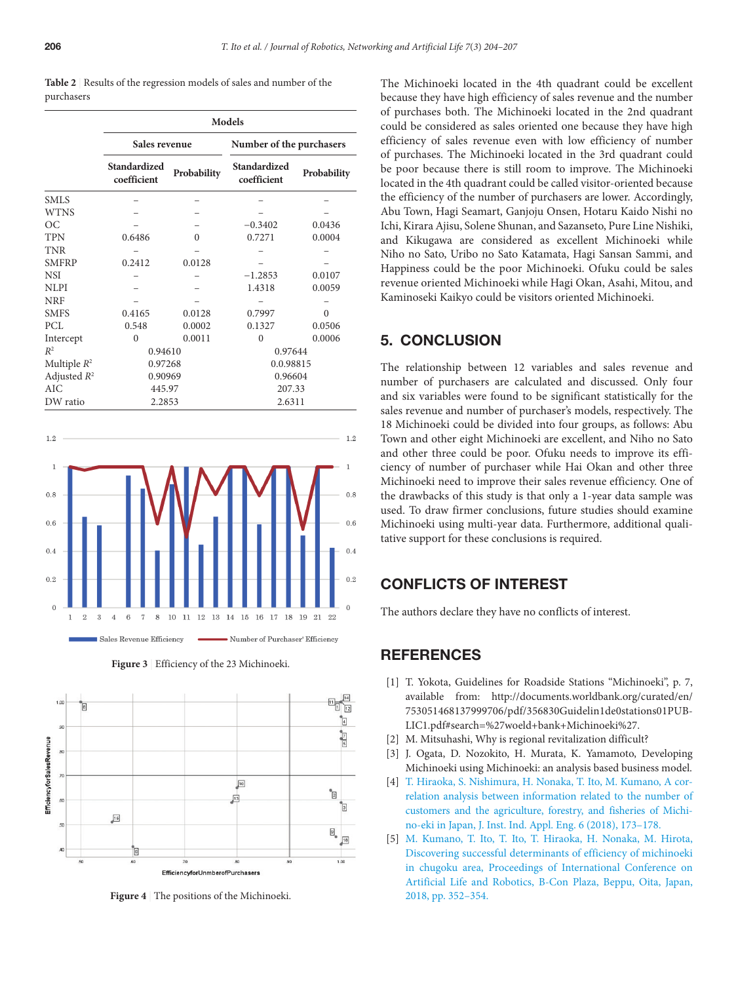<span id="page-2-6"></span>

|            | <b>Table 2</b> Results of the regression models of sales and number of the |  |  |  |  |  |
|------------|----------------------------------------------------------------------------|--|--|--|--|--|
| purchasers |                                                                            |  |  |  |  |  |

|                           | <b>Models</b>               |             |                             |             |  |  |  |
|---------------------------|-----------------------------|-------------|-----------------------------|-------------|--|--|--|
|                           | Sales revenue               |             | Number of the purchasers    |             |  |  |  |
|                           | Standardized<br>coefficient | Probability | Standardized<br>coefficient | Probability |  |  |  |
| <b>SMLS</b>               |                             |             |                             |             |  |  |  |
| <b>WTNS</b>               |                             |             |                             |             |  |  |  |
| <b>OC</b>                 |                             |             | $-0.3402$                   | 0.0436      |  |  |  |
| <b>TPN</b>                | 0.6486                      | $\Omega$    | 0.7271                      | 0.0004      |  |  |  |
| <b>TNR</b>                |                             |             |                             |             |  |  |  |
| <b>SMFRP</b>              | 0.2412                      | 0.0128      |                             |             |  |  |  |
| <b>NSI</b>                |                             |             | $-1.2853$                   | 0.0107      |  |  |  |
| <b>NLPI</b>               |                             |             | 1.4318                      | 0.0059      |  |  |  |
| <b>NRF</b>                |                             |             |                             |             |  |  |  |
| <b>SMFS</b>               | 0.4165                      | 0.0128      | 0.7997                      | $\Omega$    |  |  |  |
| PCL                       | 0.548                       | 0.0002      | 0.1327                      | 0.0506      |  |  |  |
| Intercept                 | $\theta$                    | 0.0011      | $\theta$                    | 0.0006      |  |  |  |
| $R^2$                     | 0.94610                     |             | 0.97644                     |             |  |  |  |
| Multiple $R^2$            | 0.97268                     |             | 0.0.98815                   |             |  |  |  |
| Adjusted $R^2$<br>0.90969 |                             |             | 0.96604                     |             |  |  |  |
| AIC                       | 445.97                      |             | 207.33                      |             |  |  |  |
| DW ratio                  | 2.2853                      |             | 2.6311                      |             |  |  |  |



**Figure 3** | Efficiency of the 23 Michinoeki.

<span id="page-2-7"></span>

<span id="page-2-8"></span>**Figure 4** | The positions of the Michinoeki.

The Michinoeki located in the 4th quadrant could be excellent because they have high efficiency of sales revenue and the number of purchases both. The Michinoeki located in the 2nd quadrant could be considered as sales oriented one because they have high efficiency of sales revenue even with low efficiency of number of purchases. The Michinoeki located in the 3rd quadrant could be poor because there is still room to improve. The Michinoeki located in the 4th quadrant could be called visitor-oriented because the efficiency of the number of purchasers are lower. Accordingly, Abu Town, Hagi Seamart, Ganjoju Onsen, Hotaru Kaido Nishi no Ichi, Kirara Ajisu, Solene Shunan, and Sazanseto, Pure Line Nishiki, and Kikugawa are considered as excellent Michinoeki while Niho no Sato, Uribo no Sato Katamata, Hagi Sansan Sammi, and Happiness could be the poor Michinoeki. Ofuku could be sales revenue oriented Michinoeki while Hagi Okan, Asahi, Mitou, and Kaminoseki Kaikyo could be visitors oriented Michinoeki.

### <span id="page-2-0"></span>5. CONCLUSION

The relationship between 12 variables and sales revenue and number of purchasers are calculated and discussed. Only four and six variables were found to be significant statistically for the sales revenue and number of purchaser's models, respectively. The 18 Michinoeki could be divided into four groups, as follows: Abu Town and other eight Michinoeki are excellent, and Niho no Sato and other three could be poor. Ofuku needs to improve its efficiency of number of purchaser while Hai Okan and other three Michinoeki need to improve their sales revenue efficiency. One of the drawbacks of this study is that only a 1-year data sample was used. To draw firmer conclusions, future studies should examine Michinoeki using multi-year data. Furthermore, additional qualitative support for these conclusions is required.

#### CONFLICTS OF INTEREST

The authors declare they have no conflicts of interest.

#### **REFERENCES**

- <span id="page-2-1"></span>[\[1\]](#page-0-1) T. Yokota, Guidelines for Roadside Stations "Michinoeki", p. 7, available from: [http://documents.worldbank.org/curated/en/](http://documents1.worldbank.org/curated/en/753051468137999706/pdf/356830Guidelin1de0stations01PUBLIC1.pdf) [753051468137999706/pdf/356830Guidelin1de0stations01PUB-](http://documents1.worldbank.org/curated/en/753051468137999706/pdf/356830Guidelin1de0stations01PUBLIC1.pdf)[LIC1.pdf#search=%27woeld+bank+Michinoeki%27.](http://documents1.worldbank.org/curated/en/753051468137999706/pdf/356830Guidelin1de0stations01PUBLIC1.pdf)
- <span id="page-2-2"></span>[\[2\]](#page-0-2) M. Mitsuhashi, Why is regional revitalization difficult?
- <span id="page-2-3"></span>[\[3\]](#page-0-3) J. Ogata, D. Nozokito, H. Murata, K. Yamamoto, Developing Michinoeki using Michinoeki: an analysis based business model.
- <span id="page-2-4"></span>[\[4\]](#page-0-4) [T. Hiraoka, S. Nishimura, H. Nonaka, T. Ito, M. Kumano, A cor](https://doi.org/10.12792/jiiae.6.173)[relation analysis between information related to the number of](https://doi.org/10.12792/jiiae.6.173) [customers and the agriculture, forestry, and fisheries of Michi](https://doi.org/10.12792/jiiae.6.173)[no-eki in Japan, J. Inst. Ind. Appl. Eng. 6 \(2018\), 173–178.](https://doi.org/10.12792/jiiae.6.173)
- <span id="page-2-5"></span>[\[5\]](#page-0-5) [M. Kumano, T. Ito, T. Ito, T. Hiraoka, H. Nonaka, M. Hirota,](https://doi.org/10.5954/icarob.2018.os5-1) [Discovering successful determinants of efficiency of michinoeki](https://doi.org/10.5954/icarob.2018.os5-1) [in chugoku area, Proceedings of International Conference on](https://doi.org/10.5954/icarob.2018.os5-1) [Artificial Life and Robotics, B-Con Plaza, Beppu, Oita, Japan,](https://doi.org/10.5954/icarob.2018.os5-1) [2018, pp. 352–354.](https://doi.org/10.5954/icarob.2018.os5-1)